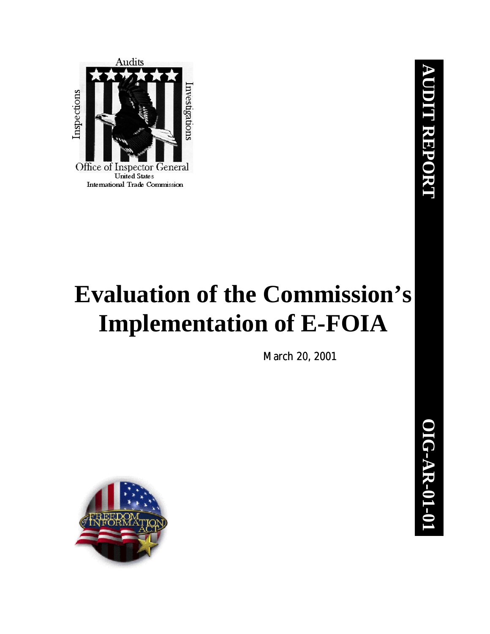

# **Evaluation of the Commission's Implementation of E-FOIA**

*March 20, 2001*

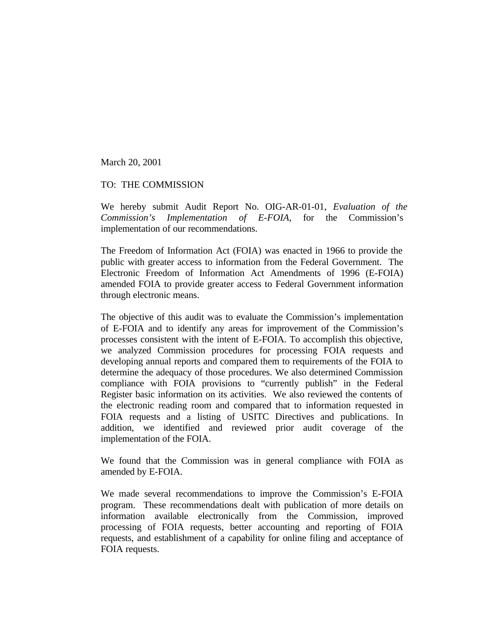March 20, 2001

#### TO: THE COMMISSION

We hereby submit Audit Report No. OIG-AR-01-01, *Evaluation of the Commission's Implementation of E-FOIA*, for the Commission's implementation of our recommendations.

The Freedom of Information Act (FOIA) was enacted in 1966 to provide the public with greater access to information from the Federal Government. The Electronic Freedom of Information Act Amendments of 1996 (E-FOIA) amended FOIA to provide greater access to Federal Government information through electronic means.

The objective of this audit was to evaluate the Commission's implementation of E-FOIA and to identify any areas for improvement of the Commission's processes consistent with the intent of E-FOIA. To accomplish this objective, we analyzed Commission procedures for processing FOIA requests and developing annual reports and compared them to requirements of the FOIA to determine the adequacy of those procedures. We also determined Commission compliance with FOIA provisions to "currently publish" in the Federal Register basic information on its activities. We also reviewed the contents of the electronic reading room and compared that to information requested in FOIA requests and a listing of USITC Directives and publications. In addition, we identified and reviewed prior audit coverage of the implementation of the FOIA.

We found that the Commission was in general compliance with FOIA as amended by E-FOIA.

We made several recommendations to improve the Commission's E-FOIA program. These recommendations dealt with publication of more details on information available electronically from the Commission, improved processing of FOIA requests, better accounting and reporting of FOIA requests, and establishment of a capability for online filing and acceptance of FOIA requests.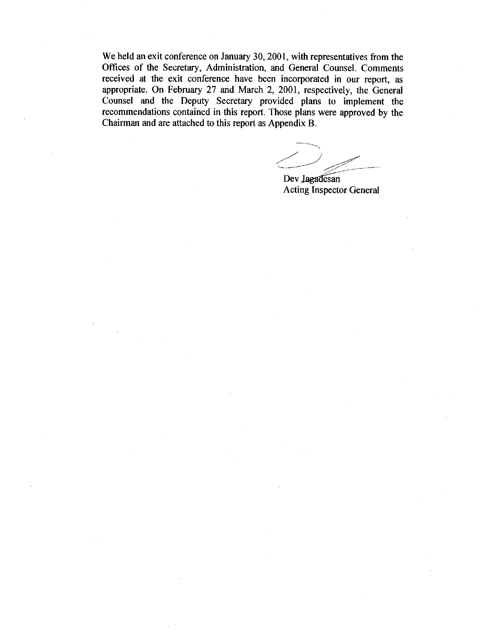We held an exit conference on January 30, 2001, with representatives from the Offices of the Secretary, Administration, and General Counsel. Comments received at the exit conference have been incorporated in our report, as appropriate. On February 27 and March 2, 2001, respectively, the General Counsel and the Deputy Secretary provided plans to implement the recommendations contained in this report. Those plans were approved by the Chairman and are attached to this report as Appendix B.

Dev Jagadesan **Acting Inspector General**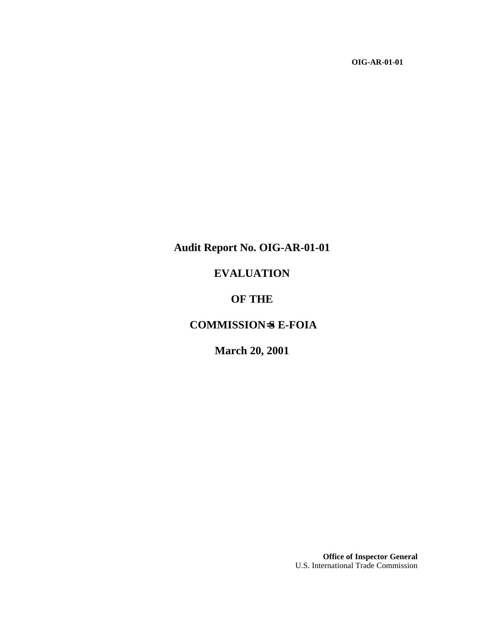**OIG-AR-01-01**

# **Audit Report No. OIG-AR-01-01**

# **EVALUATION**

## **OF THE**

# **COMMISSION**=**S E-FOIA**

# **March 20, 2001**

**Office of Inspector General** U.S. International Trade Commission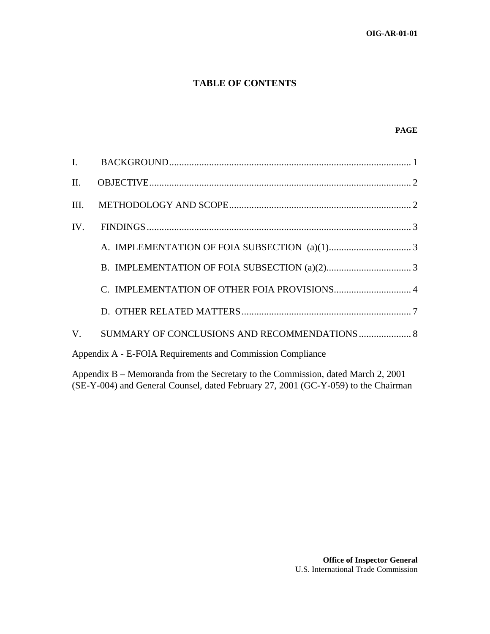#### **TABLE OF CONTENTS**

#### **PAGE**

| Appendix A - E-FOIA Requirements and Commission Compliance |  |  |  |  |
|------------------------------------------------------------|--|--|--|--|
|                                                            |  |  |  |  |

Appendix B – Memoranda from the Secretary to the Commission, dated March 2, 2001 (SE-Y-004) and General Counsel, dated February 27, 2001 (GC-Y-059) to the Chairman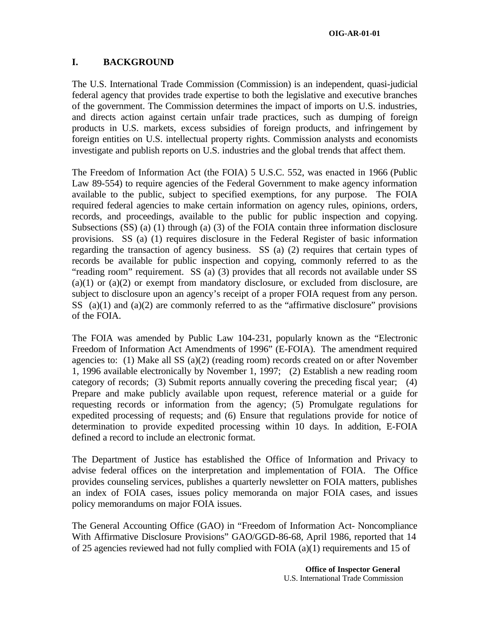#### **I. BACKGROUND**

The U.S. International Trade Commission (Commission) is an independent, quasi-judicial federal agency that provides trade expertise to both the legislative and executive branches of the government. The Commission determines the impact of imports on U.S. industries, and directs action against certain unfair trade practices, such as dumping of foreign products in U.S. markets, excess subsidies of foreign products, and infringement by foreign entities on U.S. intellectual property rights. Commission analysts and economists investigate and publish reports on U.S. industries and the global trends that affect them.

The Freedom of Information Act (the FOIA) 5 U.S.C. 552, was enacted in 1966 (Public Law 89-554) to require agencies of the Federal Government to make agency information available to the public, subject to specified exemptions, for any purpose. The FOIA required federal agencies to make certain information on agency rules, opinions, orders, records, and proceedings, available to the public for public inspection and copying. Subsections (SS) (a) (1) through (a) (3) of the FOIA contain three information disclosure provisions. SS (a) (1) requires disclosure in the Federal Register of basic information regarding the transaction of agency business. SS (a) (2) requires that certain types of records be available for public inspection and copying, commonly referred to as the "reading room" requirement. SS (a) (3) provides that all records not available under SS  $(a)(1)$  or  $(a)(2)$  or exempt from mandatory disclosure, or excluded from disclosure, are subject to disclosure upon an agency's receipt of a proper FOIA request from any person. SS  $(a)(1)$  and  $(a)(2)$  are commonly referred to as the "affirmative disclosure" provisions of the FOIA.

The FOIA was amended by Public Law 104-231, popularly known as the "Electronic Freedom of Information Act Amendments of 1996" (E-FOIA). The amendment required agencies to: (1) Make all SS (a)(2) (reading room) records created on or after November 1, 1996 available electronically by November 1, 1997; (2) Establish a new reading room category of records; (3) Submit reports annually covering the preceding fiscal year; (4) Prepare and make publicly available upon request, reference material or a guide for requesting records or information from the agency; (5) Promulgate regulations for expedited processing of requests; and (6) Ensure that regulations provide for notice of determination to provide expedited processing within 10 days. In addition, E-FOIA defined a record to include an electronic format.

The Department of Justice has established the Office of Information and Privacy to advise federal offices on the interpretation and implementation of FOIA. The Office provides counseling services, publishes a quarterly newsletter on FOIA matters, publishes an index of FOIA cases, issues policy memoranda on major FOIA cases, and issues policy memorandums on major FOIA issues.

The General Accounting Office (GAO) in "Freedom of Information Act- Noncompliance With Affirmative Disclosure Provisions" GAO/GGD-86-68, April 1986, reported that 14 of 25 agencies reviewed had not fully complied with FOIA (a)(1) requirements and 15 of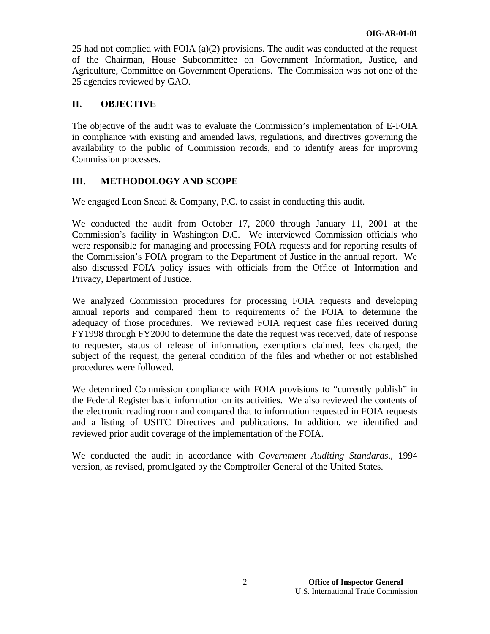25 had not complied with FOIA (a)(2) provisions. The audit was conducted at the request of the Chairman, House Subcommittee on Government Information, Justice, and Agriculture, Committee on Government Operations. The Commission was not one of the 25 agencies reviewed by GAO.

#### **II. OBJECTIVE**

The objective of the audit was to evaluate the Commission's implementation of E-FOIA in compliance with existing and amended laws, regulations, and directives governing the availability to the public of Commission records, and to identify areas for improving Commission processes.

#### **III. METHODOLOGY AND SCOPE**

We engaged Leon Snead & Company, P.C. to assist in conducting this audit.

We conducted the audit from October 17, 2000 through January 11, 2001 at the Commission's facility in Washington D.C. We interviewed Commission officials who were responsible for managing and processing FOIA requests and for reporting results of the Commission's FOIA program to the Department of Justice in the annual report. We also discussed FOIA policy issues with officials from the Office of Information and Privacy, Department of Justice.

We analyzed Commission procedures for processing FOIA requests and developing annual reports and compared them to requirements of the FOIA to determine the adequacy of those procedures. We reviewed FOIA request case files received during FY1998 through FY2000 to determine the date the request was received, date of response to requester, status of release of information, exemptions claimed, fees charged, the subject of the request, the general condition of the files and whether or not established procedures were followed.

We determined Commission compliance with FOIA provisions to "currently publish" in the Federal Register basic information on its activities. We also reviewed the contents of the electronic reading room and compared that to information requested in FOIA requests and a listing of USITC Directives and publications. In addition, we identified and reviewed prior audit coverage of the implementation of the FOIA.

We conducted the audit in accordance with *Government Auditing Standards*., 1994 version, as revised, promulgated by the Comptroller General of the United States.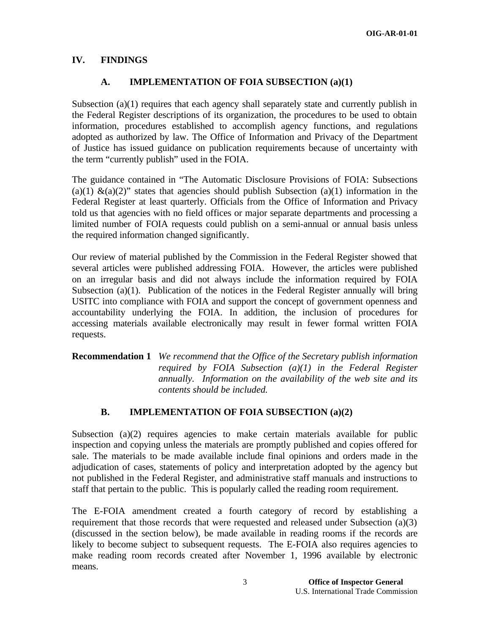#### **IV. FINDINGS**

#### **A. IMPLEMENTATION OF FOIA SUBSECTION (a)(1)**

Subsection  $(a)(1)$  requires that each agency shall separately state and currently publish in the Federal Register descriptions of its organization, the procedures to be used to obtain information, procedures established to accomplish agency functions, and regulations adopted as authorized by law. The Office of Information and Privacy of the Department of Justice has issued guidance on publication requirements because of uncertainty with the term "currently publish" used in the FOIA.

The guidance contained in "The Automatic Disclosure Provisions of FOIA: Subsections (a)(1)  $\&(a)(2)$ " states that agencies should publish Subsection (a)(1) information in the Federal Register at least quarterly. Officials from the Office of Information and Privacy told us that agencies with no field offices or major separate departments and processing a limited number of FOIA requests could publish on a semi-annual or annual basis unless the required information changed significantly.

Our review of material published by the Commission in the Federal Register showed that several articles were published addressing FOIA. However, the articles were published on an irregular basis and did not always include the information required by FOIA Subsection (a)(1). Publication of the notices in the Federal Register annually will bring USITC into compliance with FOIA and support the concept of government openness and accountability underlying the FOIA. In addition, the inclusion of procedures for accessing materials available electronically may result in fewer formal written FOIA requests.

**Recommendation 1** *We recommend that the Office of the Secretary publish information required by FOIA Subsection (a)(1) in the Federal Register annually. Information on the availability of the web site and its contents should be included.* 

#### **B. IMPLEMENTATION OF FOIA SUBSECTION (a)(2)**

Subsection (a) $(2)$  requires agencies to make certain materials available for public inspection and copying unless the materials are promptly published and copies offered for sale. The materials to be made available include final opinions and orders made in the adjudication of cases, statements of policy and interpretation adopted by the agency but not published in the Federal Register, and administrative staff manuals and instructions to staff that pertain to the public. This is popularly called the reading room requirement.

The E-FOIA amendment created a fourth category of record by establishing a requirement that those records that were requested and released under Subsection (a)(3) (discussed in the section below), be made available in reading rooms if the records are likely to become subject to subsequent requests. The E-FOIA also requires agencies to make reading room records created after November 1, 1996 available by electronic means.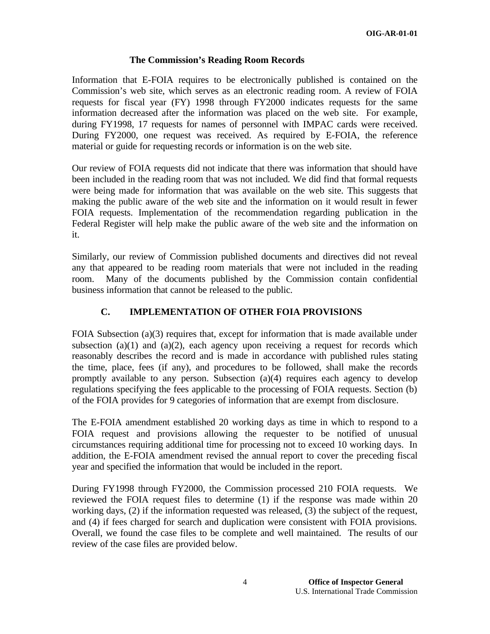#### **The Commission's Reading Room Records**

Information that E-FOIA requires to be electronically published is contained on the Commission's web site, which serves as an electronic reading room. A review of FOIA requests for fiscal year (FY) 1998 through FY2000 indicates requests for the same information decreased after the information was placed on the web site. For example, during FY1998, 17 requests for names of personnel with IMPAC cards were received. During FY2000, one request was received. As required by E-FOIA, the reference material or guide for requesting records or information is on the web site.

Our review of FOIA requests did not indicate that there was information that should have been included in the reading room that was not included. We did find that formal requests were being made for information that was available on the web site. This suggests that making the public aware of the web site and the information on it would result in fewer FOIA requests. Implementation of the recommendation regarding publication in the Federal Register will help make the public aware of the web site and the information on it.

Similarly, our review of Commission published documents and directives did not reveal any that appeared to be reading room materials that were not included in the reading room. Many of the documents published by the Commission contain confidential business information that cannot be released to the public.

#### **C. IMPLEMENTATION OF OTHER FOIA PROVISIONS**

FOIA Subsection  $(a)(3)$  requires that, except for information that is made available under subsection (a)(1) and (a)(2), each agency upon receiving a request for records which reasonably describes the record and is made in accordance with published rules stating the time, place, fees (if any), and procedures to be followed, shall make the records promptly available to any person. Subsection (a)(4) requires each agency to develop regulations specifying the fees applicable to the processing of FOIA requests. Section (b) of the FOIA provides for 9 categories of information that are exempt from disclosure.

The E-FOIA amendment established 20 working days as time in which to respond to a FOIA request and provisions allowing the requester to be notified of unusual circumstances requiring additional time for processing not to exceed 10 working days. In addition, the E-FOIA amendment revised the annual report to cover the preceding fiscal year and specified the information that would be included in the report.

During FY1998 through FY2000, the Commission processed 210 FOIA requests. We reviewed the FOIA request files to determine (1) if the response was made within 20 working days, (2) if the information requested was released, (3) the subject of the request, and (4) if fees charged for search and duplication were consistent with FOIA provisions. Overall, we found the case files to be complete and well maintained. The results of our review of the case files are provided below.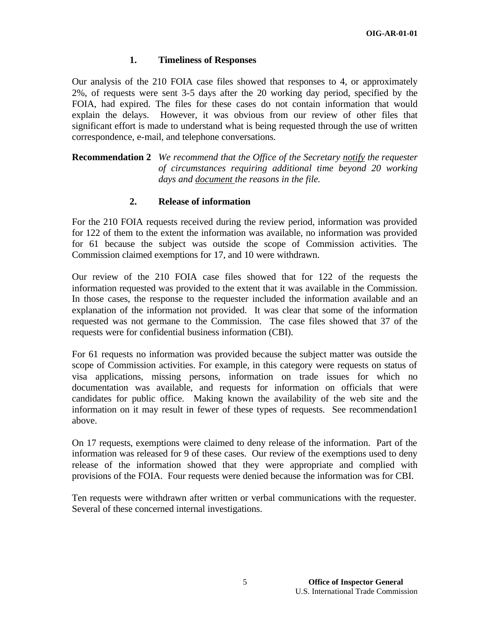#### **1. Timeliness of Responses**

Our analysis of the 210 FOIA case files showed that responses to 4, or approximately 2%, of requests were sent 3-5 days after the 20 working day period, specified by the FOIA, had expired. The files for these cases do not contain information that would explain the delays. However, it was obvious from our review of other files that significant effort is made to understand what is being requested through the use of written correspondence, e-mail, and telephone conversations.

**Recommendation 2** *We recommend that the Office of the Secretary notify the requester of circumstances requiring additional time beyond 20 working days and document the reasons in the file.*

#### **2. Release of information**

For the 210 FOIA requests received during the review period, information was provided for 122 of them to the extent the information was available, no information was provided for 61 because the subject was outside the scope of Commission activities. The Commission claimed exemptions for 17, and 10 were withdrawn.

Our review of the 210 FOIA case files showed that for 122 of the requests the information requested was provided to the extent that it was available in the Commission. In those cases, the response to the requester included the information available and an explanation of the information not provided. It was clear that some of the information requested was not germane to the Commission. The case files showed that 37 of the requests were for confidential business information (CBI).

For 61 requests no information was provided because the subject matter was outside the scope of Commission activities. For example, in this category were requests on status of visa applications, missing persons, information on trade issues for which no documentation was available, and requests for information on officials that were candidates for public office. Making known the availability of the web site and the information on it may result in fewer of these types of requests. See recommendation1 above.

On 17 requests, exemptions were claimed to deny release of the information. Part of the information was released for 9 of these cases. Our review of the exemptions used to deny release of the information showed that they were appropriate and complied with provisions of the FOIA. Four requests were denied because the information was for CBI.

Ten requests were withdrawn after written or verbal communications with the requester. Several of these concerned internal investigations.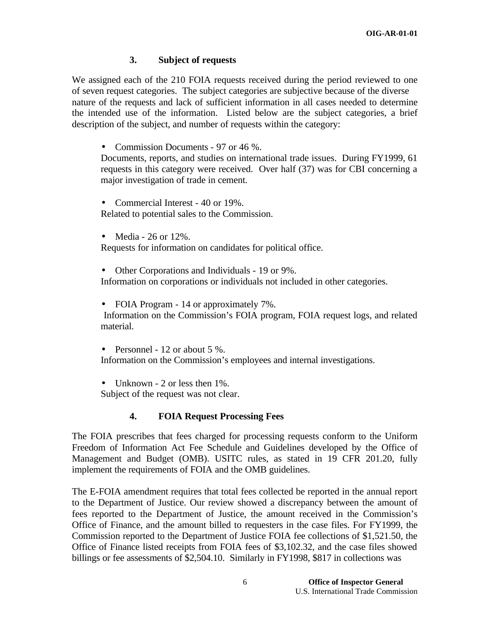#### **3. Subject of requests**

We assigned each of the 210 FOIA requests received during the period reviewed to one of seven request categories. The subject categories are subjective because of the diverse nature of the requests and lack of sufficient information in all cases needed to determine the intended use of the information. Listed below are the subject categories, a brief description of the subject, and number of requests within the category:

• Commission Documents - 97 or 46 %.

Documents, reports, and studies on international trade issues. During FY1999, 61 requests in this category were received. Over half (37) was for CBI concerning a major investigation of trade in cement.

- Commercial Interest 40 or 19%. Related to potential sales to the Commission.
- Media 26 or 12%.

Requests for information on candidates for political office.

• Other Corporations and Individuals - 19 or 9%. Information on corporations or individuals not included in other categories.

• FOIA Program - 14 or approximately 7%. Information on the Commission's FOIA program, FOIA request logs, and related material.

• Personnel - 12 or about 5 %. Information on the Commission's employees and internal investigations.

• Unknown - 2 or less then 1%. Subject of the request was not clear.

#### **4. FOIA Request Processing Fees**

The FOIA prescribes that fees charged for processing requests conform to the Uniform Freedom of Information Act Fee Schedule and Guidelines developed by the Office of Management and Budget (OMB). USITC rules, as stated in 19 CFR 201.20, fully implement the requirements of FOIA and the OMB guidelines.

The E-FOIA amendment requires that total fees collected be reported in the annual report to the Department of Justice. Our review showed a discrepancy between the amount of fees reported to the Department of Justice, the amount received in the Commission's Office of Finance, and the amount billed to requesters in the case files. For FY1999, the Commission reported to the Department of Justice FOIA fee collections of \$1,521.50, the Office of Finance listed receipts from FOIA fees of \$3,102.32, and the case files showed billings or fee assessments of \$2,504.10. Similarly in FY1998, \$817 in collections was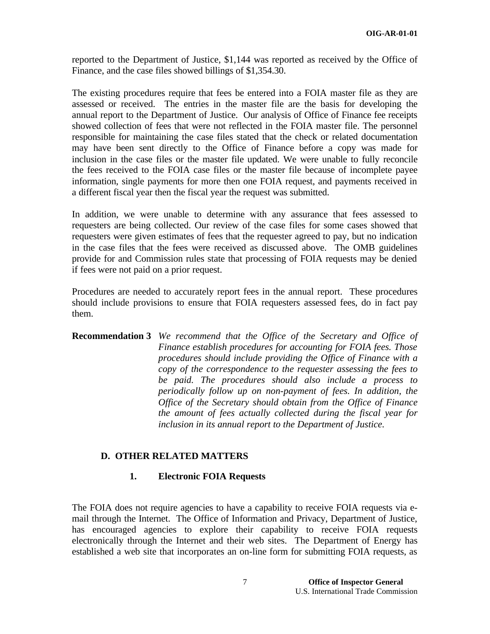reported to the Department of Justice, \$1,144 was reported as received by the Office of Finance, and the case files showed billings of \$1,354.30.

The existing procedures require that fees be entered into a FOIA master file as they are assessed or received. The entries in the master file are the basis for developing the annual report to the Department of Justice. Our analysis of Office of Finance fee receipts showed collection of fees that were not reflected in the FOIA master file. The personnel responsible for maintaining the case files stated that the check or related documentation may have been sent directly to the Office of Finance before a copy was made for inclusion in the case files or the master file updated. We were unable to fully reconcile the fees received to the FOIA case files or the master file because of incomplete payee information, single payments for more then one FOIA request, and payments received in a different fiscal year then the fiscal year the request was submitted.

In addition, we were unable to determine with any assurance that fees assessed to requesters are being collected. Our review of the case files for some cases showed that requesters were given estimates of fees that the requester agreed to pay, but no indication in the case files that the fees were received as discussed above. The OMB guidelines provide for and Commission rules state that processing of FOIA requests may be denied if fees were not paid on a prior request.

Procedures are needed to accurately report fees in the annual report. These procedures should include provisions to ensure that FOIA requesters assessed fees, do in fact pay them.

#### **Recommendation 3** *We recommend that the Office of the Secretary and Office of Finance establish procedures for accounting for FOIA fees. Those procedures should include providing the Office of Finance with a copy of the correspondence to the requester assessing the fees to be paid. The procedures should also include a process to periodically follow up on non-payment of fees. In addition, the Office of the Secretary should obtain from the Office of Finance the amount of fees actually collected during the fiscal year for inclusion in its annual report to the Department of Justice.*

#### **D. OTHER RELATED MATTERS**

#### **1. Electronic FOIA Requests**

The FOIA does not require agencies to have a capability to receive FOIA requests via email through the Internet. The Office of Information and Privacy, Department of Justice, has encouraged agencies to explore their capability to receive FOIA requests electronically through the Internet and their web sites. The Department of Energy has established a web site that incorporates an on-line form for submitting FOIA requests, as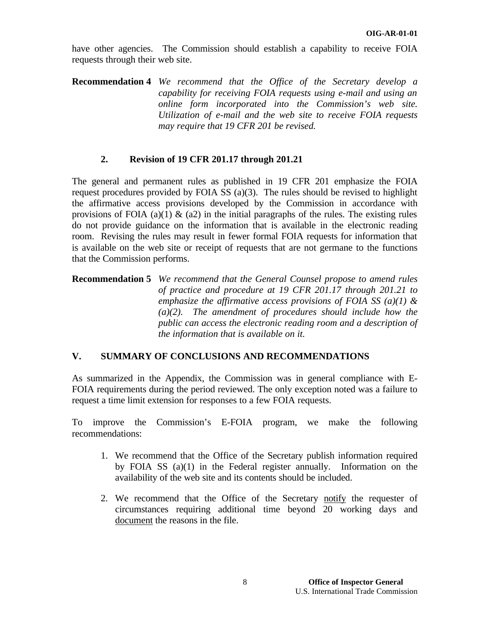have other agencies. The Commission should establish a capability to receive FOIA requests through their web site.

**Recommendation 4** *We recommend that the Office of the Secretary develop a capability for receiving FOIA requests using e-mail and using an online form incorporated into the Commission's web site. Utilization of e-mail and the web site to receive FOIA requests may require that 19 CFR 201 be revised.*

#### **2. Revision of 19 CFR 201.17 through 201.21**

The general and permanent rules as published in 19 CFR 201 emphasize the FOIA request procedures provided by FOIA SS (a)(3). The rules should be revised to highlight the affirmative access provisions developed by the Commission in accordance with provisions of FOIA (a)(1)  $\&$  (a2) in the initial paragraphs of the rules. The existing rules do not provide guidance on the information that is available in the electronic reading room. Revising the rules may result in fewer formal FOIA requests for information that is available on the web site or receipt of requests that are not germane to the functions that the Commission performs.

#### **Recommendation 5** *We recommend that the General Counsel propose to amend rules of practice and procedure at 19 CFR 201.17 through 201.21 to emphasize the affirmative access provisions of FOIA SS (a)(1) & (a)(2). The amendment of procedures should include how the public can access the electronic reading room and a description of the information that is available on it.*

### **V. SUMMARY OF CONCLUSIONS AND RECOMMENDATIONS**

As summarized in the Appendix, the Commission was in general compliance with E-FOIA requirements during the period reviewed. The only exception noted was a failure to request a time limit extension for responses to a few FOIA requests.

To improve the Commission's E-FOIA program, we make the following recommendations:

- 1. We recommend that the Office of the Secretary publish information required by FOIA SS (a)(1) in the Federal register annually. Information on the availability of the web site and its contents should be included.
- 2. We recommend that the Office of the Secretary notify the requester of circumstances requiring additional time beyond 20 working days and document the reasons in the file.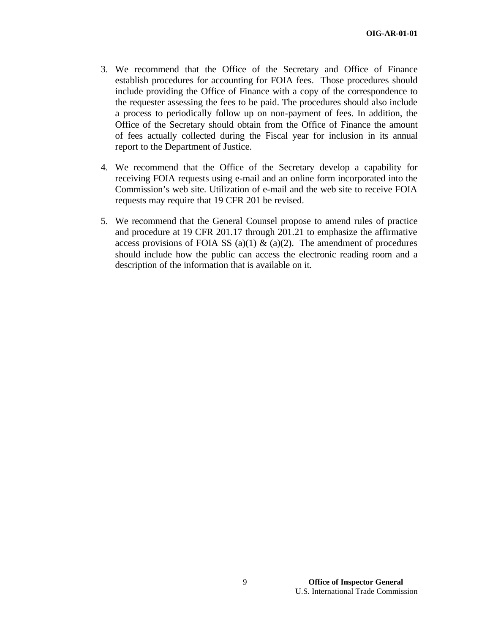- 3. We recommend that the Office of the Secretary and Office of Finance establish procedures for accounting for FOIA fees. Those procedures should include providing the Office of Finance with a copy of the correspondence to the requester assessing the fees to be paid. The procedures should also include a process to periodically follow up on non-payment of fees. In addition, the Office of the Secretary should obtain from the Office of Finance the amount of fees actually collected during the Fiscal year for inclusion in its annual report to the Department of Justice.
- 4. We recommend that the Office of the Secretary develop a capability for receiving FOIA requests using e-mail and an online form incorporated into the Commission's web site. Utilization of e-mail and the web site to receive FOIA requests may require that 19 CFR 201 be revised.
- 5. We recommend that the General Counsel propose to amend rules of practice and procedure at 19 CFR 201.17 through 201.21 to emphasize the affirmative access provisions of FOIA SS (a)(1)  $\&$  (a)(2). The amendment of procedures should include how the public can access the electronic reading room and a description of the information that is available on it.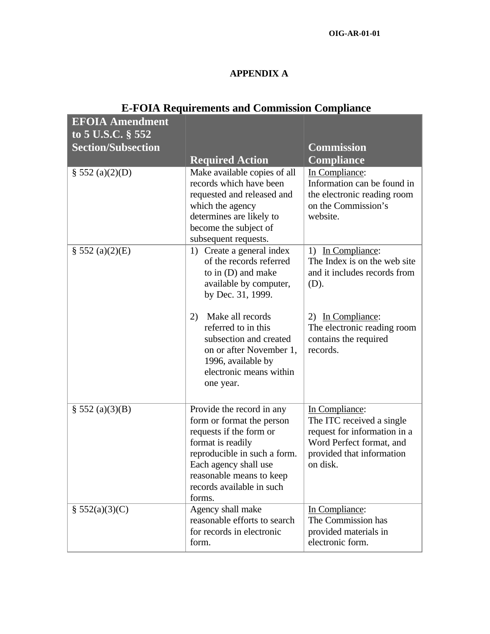## **APPENDIX A**

| <b>EFOIA Amendment</b><br>to 5 U.S.C. § 552 |                                                                                                                                                                                                                                    |                                                                                                                                                  |
|---------------------------------------------|------------------------------------------------------------------------------------------------------------------------------------------------------------------------------------------------------------------------------------|--------------------------------------------------------------------------------------------------------------------------------------------------|
| <b>Section/Subsection</b>                   |                                                                                                                                                                                                                                    | <b>Commission</b>                                                                                                                                |
|                                             | <b>Required Action</b>                                                                                                                                                                                                             | <b>Compliance</b>                                                                                                                                |
| $\S$ 552 (a)(2)(D)                          | Make available copies of all<br>records which have been<br>requested and released and<br>which the agency<br>determines are likely to<br>become the subject of<br>subsequent requests.                                             | In Compliance:<br>Information can be found in<br>the electronic reading room<br>on the Commission's<br>website.                                  |
| $\S$ 552 (a)(2)(E)                          | 1) Create a general index<br>of the records referred<br>to in (D) and make<br>available by computer,<br>by Dec. 31, 1999.                                                                                                          | 1) In Compliance:<br>The Index is on the web site<br>and it includes records from<br>(D).                                                        |
|                                             | Make all records<br>2)<br>referred to in this<br>subsection and created<br>on or after November 1,<br>1996, available by<br>electronic means within<br>one year.                                                                   | 2) In Compliance:<br>The electronic reading room<br>contains the required<br>records.                                                            |
| $\S 552 (a)(3)(B)$                          | Provide the record in any<br>form or format the person<br>requests if the form or<br>format is readily<br>reproducible in such a form.<br>Each agency shall use<br>reasonable means to keep<br>records available in such<br>forms. | In Compliance:<br>The ITC received a single<br>request for information in a<br>Word Perfect format, and<br>provided that information<br>on disk. |
| \$552(a)(3)(C)                              | Agency shall make<br>reasonable efforts to search<br>for records in electronic<br>form.                                                                                                                                            | In Compliance:<br>The Commission has<br>provided materials in<br>electronic form.                                                                |

# **E-FOIA Requirements and Commission Compliance**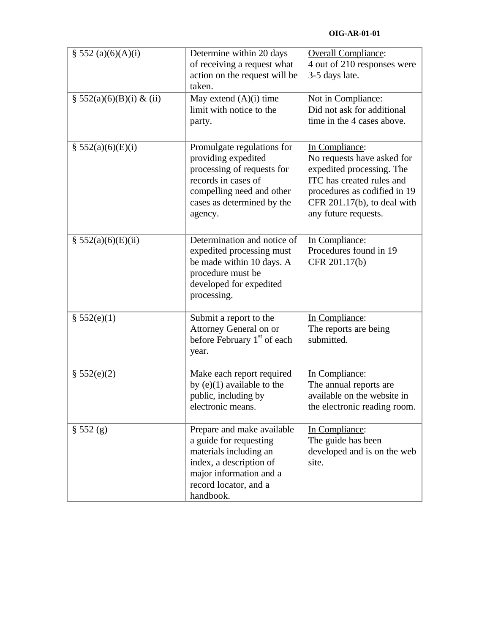| § 552 $(a)(6)(A)(i)$         | Determine within 20 days<br>of receiving a request what<br>action on the request will be<br>taken.                                                                           | <b>Overall Compliance:</b><br>4 out of 210 responses were<br>3-5 days late.                                                                                                                      |
|------------------------------|------------------------------------------------------------------------------------------------------------------------------------------------------------------------------|--------------------------------------------------------------------------------------------------------------------------------------------------------------------------------------------------|
| $\S 552(a)(6)(B)(i) \& (ii)$ | May extend $(A)(i)$ time<br>limit with notice to the<br>party.                                                                                                               | Not in Compliance:<br>Did not ask for additional<br>time in the 4 cases above.                                                                                                                   |
| \$552(a)(6)(E)(i)            | Promulgate regulations for<br>providing expedited<br>processing of requests for<br>records in cases of<br>compelling need and other<br>cases as determined by the<br>agency. | In Compliance:<br>No requests have asked for<br>expedited processing. The<br>ITC has created rules and<br>procedures as codified in 19<br>CFR $201.17(b)$ , to deal with<br>any future requests. |
| \$552(a)(6)(E)(ii)           | Determination and notice of<br>expedited processing must<br>be made within 10 days. A<br>procedure must be<br>developed for expedited<br>processing.                         | In Compliance:<br>Procedures found in 19<br>CFR 201.17(b)                                                                                                                                        |
| \$552(e)(1)                  | Submit a report to the<br>Attorney General on or<br>before February $1st$ of each<br>year.                                                                                   | In Compliance:<br>The reports are being<br>submitted.                                                                                                                                            |
| \$552(e)(2)                  | Make each report required<br>by $(e)(1)$ available to the<br>public, including by<br>electronic means.                                                                       | In Compliance:<br>The annual reports are<br>available on the website in<br>the electronic reading room.                                                                                          |
| § 552(g)                     | Prepare and make available<br>a guide for requesting<br>materials including an<br>index, a description of<br>major information and a<br>record locator, and a<br>handbook.   | In Compliance:<br>The guide has been<br>developed and is on the web<br>site.                                                                                                                     |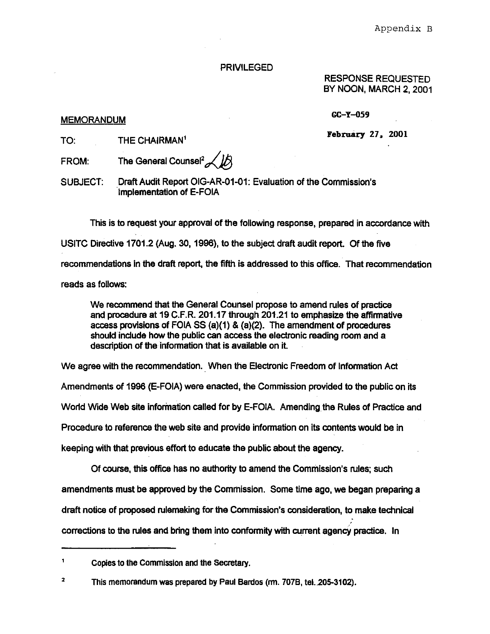#### **PRIVILEGED**

RESPONSE REQUESTED. BY NOON, MARCH 2, 2001

GC-Y-059

#### **MEMORANDUM**

TO. THE CHAIRMAN<sup>1</sup> February 27, 2001

The General Counsel<sup>2</sup> **FROM:** 

Draft Audit Report OIG-AR-01-01: Evaluation of the Commission's **SUBJECT:** Implementation of E-FOIA

This is to request your approval of the following response, prepared in accordance with USITC Directive 1701.2 (Aug. 30, 1996), to the subject draft audit report. Of the five recommendations in the draft report, the fifth is addressed to this office. That recommendation reads as follows:

We recommend that the General Counsel propose to amend rules of practice and procedure at 19 C.F.R. 201.17 through 201.21 to emphasize the affirmative access provisions of FOIA SS (a)(1) & (a)(2). The amendment of procedures should include how the public can access the electronic reading room and a description of the information that is available on it.

We agree with the recommendation. When the Electronic Freedom of Information Act

Amendments of 1996 (E-FOIA) were enacted, the Commission provided to the public on its

World Wide Web site information called for by E-FOIA. Amending the Rules of Practice and

Procedure to reference the web site and provide information on its contents would be in

keeping with that previous effort to educate the public about the agency.

Of course, this office has no authority to amend the Commission's rules; such

amendments must be approved by the Commission. Some time ago, we began preparing a

draft notice of proposed rulemaking for the Commission's consideration, to make technical

corrections to the rules and bring them into conformity with current agency practice. In

<sup>1</sup> Copies to the Commission and the Secretary.

 $\overline{\mathbf{2}}$ This memorandum was prepared by Paul Bardos (m. 707B, tel. 205-3102).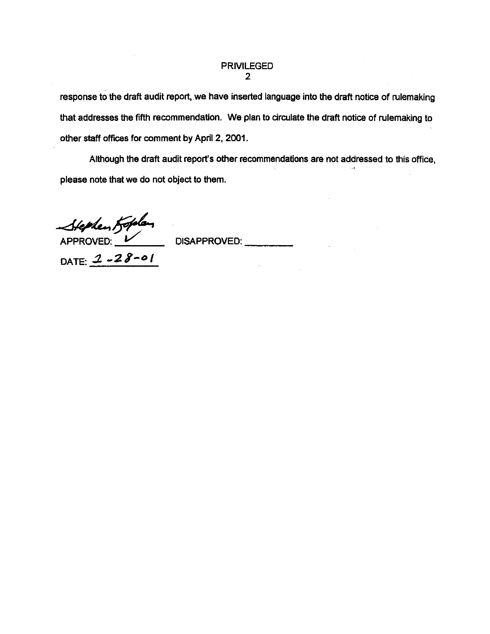#### **PRIVILEGED**  $\overline{2}$

response to the draft audit report, we have inserted language into the draft notice of rulemaking that addresses the fifth recommendation. We plan to circulate the draft notice of rulemaking to other staff offices for comment by April 2, 2001.

Although the draft audit report's other recommendations are not addressed to this office. please note that we do not object to them.

Stephen Koplan

DATE:  $2 - 28 - 01$ 

DISAPPROVED: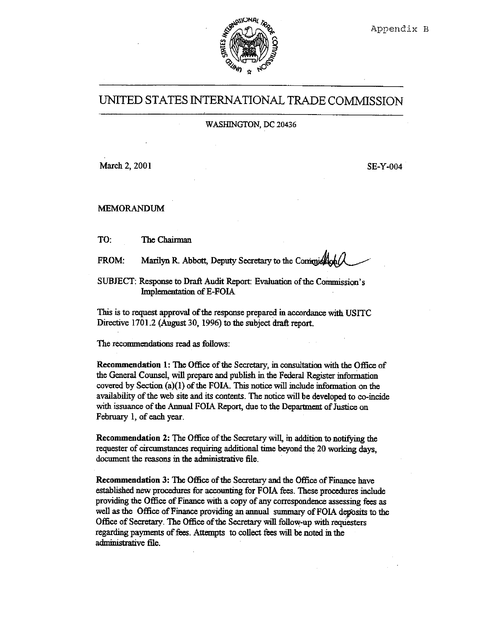

## UNITED STATES INTERNATIONAL TRADE COMMISSION

#### WASHINGTON, DC 20436

March 2, 2001

**SE-Y-004** 

**MEMORANDUM** 

TO: The Chairman

Marilyn R. Abbott, Deputy Secretary to the Commiss FROM:

SUBJECT: Response to Draft Audit Report: Evaluation of the Commission's Implementation of E-FOIA

This is to request approval of the response prepared in accordance with USITC Directive 1701.2 (August 30, 1996) to the subject draft report.

The recommendations read as follows:

Recommendation 1: The Office of the Secretary, in consultation with the Office of the General Counsel, will prepare and publish in the Federal Register information covered by Section (a) $(1)$  of the FOIA. This notice will include information on the availability of the web site and its contents. The notice will be developed to co-incide with issuance of the Annual FOIA Report, due to the Department of Justice on February 1, of each year.

Recommendation 2: The Office of the Secretary will, in addition to notifying the requester of circumstances requiring additional time beyond the 20 working days, document the reasons in the administrative file.

Recommendation 3: The Office of the Secretary and the Office of Finance have established new procedures for accounting for FOIA fees. These procedures include providing the Office of Finance with a copy of any correspondence assessing fees as well as the Office of Finance providing an annual summary of FOIA deposits to the Office of Secretary. The Office of the Secretary will follow-up with requesters regarding payments of fees. Attempts to collect fees will be noted in the administrative file.